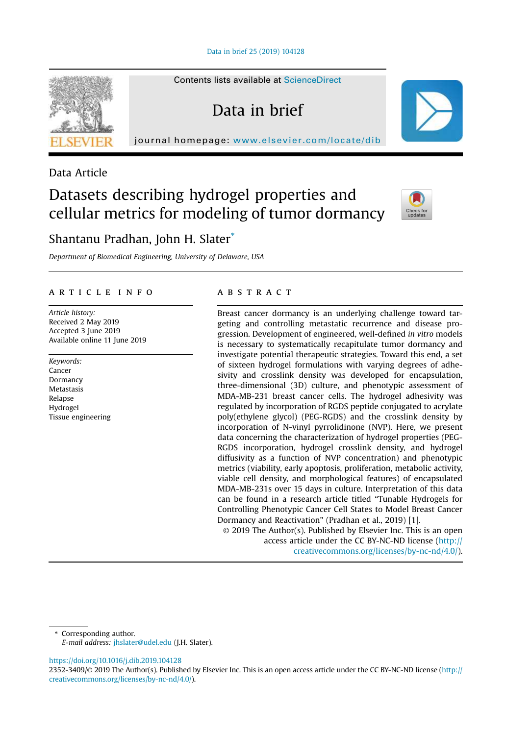Data in brief 25 (2019) 104128

Contents lists available at ScienceDirect

Data in brief

journal homepage: www.elsevier.com/locate/dib



Data Article

# Datasets describing hydrogel properties and cellular metrics for modeling of tumor dormancy



# Shantanu Pradhan, John H. Slater\*

*Department of Biomedical Engineering, University of Delaware, USA*

## article info

*Article history:* Received 2 May 2019 Accepted 3 June 2019 Available online 11 June 2019

*Keywords:* Cancer Dormancy Metastasis Relapse Hydrogel Tissue engineering

# **ABSTRACT**

Breast cancer dormancy is an underlying challenge toward targeting and controlling metastatic recurrence and disease progression. Development of engineered, well-defined *in vitro* models is necessary to systematically recapitulate tumor dormancy and investigate potential therapeutic strategies. Toward this end, a set of sixteen hydrogel formulations with varying degrees of adhesivity and crosslink density was developed for encapsulation, three-dimensional (3D) culture, and phenotypic assessment of MDA-MB-231 breast cancer cells. The hydrogel adhesivity was regulated by incorporation of RGDS peptide conjugated to acrylate poly(ethylene glycol) (PEG-RGDS) and the crosslink density by incorporation of N-vinyl pyrrolidinone (NVP). Here, we present data concerning the characterization of hydrogel properties (PEG-RGDS incorporation, hydrogel crosslink density, and hydrogel diffusivity as a function of NVP concentration) and phenotypic metrics (viability, early apoptosis, proliferation, metabolic activity, viable cell density, and morphological features) of encapsulated MDA-MB-231s over 15 days in culture. Interpretation of this data can be found in a research article titled "Tunable Hydrogels for Controlling Phenotypic Cancer Cell States to Model Breast Cancer Dormancy and Reactivation" (Pradhan et al., 2019) [1].

© 2019 The Author(s). Published by Elsevier Inc. This is an open access article under the CC BY-NC-ND license (http:// creativecommons.org/licenses/by-nc-nd/4.0/).

\* Corresponding author.

*E-mail address:* jhslater@udel.edu (J.H. Slater).

https://doi.org/10.1016/j.dib.2019.104128

<sup>2352-3409/</sup>© 2019 The Author(s). Published by Elsevier Inc. This is an open access article under the CC BY-NC-ND license (http:// creativecommons.org/licenses/by-nc-nd/4.0/).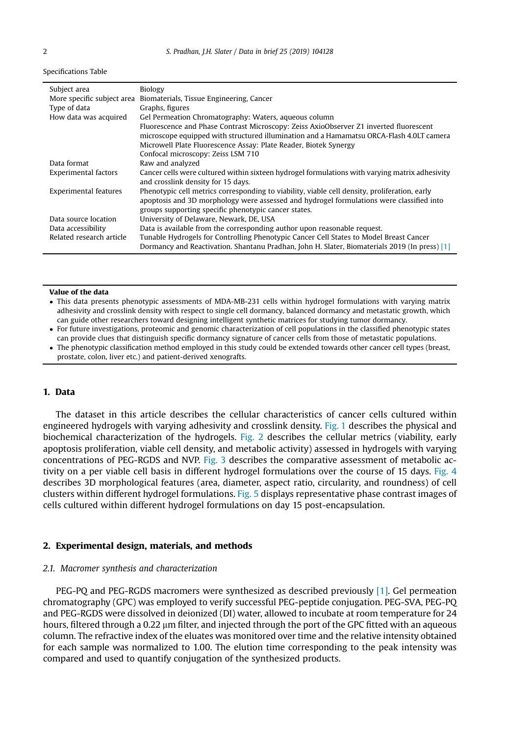#### Specifications Table

| Subject area                 | Biology                                                                                                                                                                                                                                           |
|------------------------------|---------------------------------------------------------------------------------------------------------------------------------------------------------------------------------------------------------------------------------------------------|
|                              | More specific subject area Biomaterials, Tissue Engineering, Cancer                                                                                                                                                                               |
| Type of data                 | Graphs, figures                                                                                                                                                                                                                                   |
| How data was acquired        | Gel Permeation Chromatography: Waters, aqueous column                                                                                                                                                                                             |
|                              | Fluorescence and Phase Contrast Microscopy: Zeiss AxioObserver Z1 inverted fluorescent<br>microscope equipped with structured illumination and a Hamamatsu ORCA-Flash 4.0LT camera                                                                |
|                              | Microwell Plate Fluorescence Assay: Plate Reader, Biotek Synergy                                                                                                                                                                                  |
|                              | Confocal microscopy: Zeiss LSM 710                                                                                                                                                                                                                |
| Data format                  | Raw and analyzed                                                                                                                                                                                                                                  |
| Experimental factors         | Cancer cells were cultured within sixteen hydrogel formulations with varying matrix adhesivity<br>and crosslink density for 15 days.                                                                                                              |
| <b>Experimental features</b> | Phenotypic cell metrics corresponding to viability, viable cell density, proliferation, early<br>apoptosis and 3D morphology were assessed and hydrogel formulations were classified into<br>groups supporting specific phenotypic cancer states. |
| Data source location         | University of Delaware, Newark, DE, USA                                                                                                                                                                                                           |
| Data accessibility           | Data is available from the corresponding author upon reasonable request.                                                                                                                                                                          |
| Related research article     | Tunable Hydrogels for Controlling Phenotypic Cancer Cell States to Model Breast Cancer<br>Dormancy and Reactivation. Shantanu Pradhan, John H. Slater, Biomaterials 2019 (In press) [1]                                                           |

#### Value of the data

 This data presents phenotypic assessments of MDA-MB-231 cells within hydrogel formulations with varying matrix adhesivity and crosslink density with respect to single cell dormancy, balanced dormancy and metastatic growth, which can guide other researchers toward designing intelligent synthetic matrices for studying tumor dormancy.

 For future investigations, proteomic and genomic characterization of cell populations in the classified phenotypic states can provide clues that distinguish specific dormancy signature of cancer cells from those of metastatic populations.

 The phenotypic classification method employed in this study could be extended towards other cancer cell types (breast, prostate, colon, liver etc.) and patient-derived xenografts.

# 1. Data

The dataset in this article describes the cellular characteristics of cancer cells cultured within engineered hydrogels with varying adhesivity and crosslink density. Fig. 1 describes the physical and biochemical characterization of the hydrogels. Fig. 2 describes the cellular metrics (viability, early apoptosis proliferation, viable cell density, and metabolic activity) assessed in hydrogels with varying concentrations of PEG-RGDS and NVP. Fig. 3 describes the comparative assessment of metabolic activity on a per viable cell basis in different hydrogel formulations over the course of 15 days. Fig. 4 describes 3D morphological features (area, diameter, aspect ratio, circularity, and roundness) of cell clusters within different hydrogel formulations. Fig. 5 displays representative phase contrast images of cells cultured within different hydrogel formulations on day 15 post-encapsulation.

#### 2. Experimental design, materials, and methods

#### *2.1. Macromer synthesis and characterization*

PEG-PQ and PEG-RGDS macromers were synthesized as described previously [1]. Gel permeation chromatography (GPC) was employed to verify successful PEG-peptide conjugation. PEG-SVA, PEG-PQ and PEG-RGDS were dissolved in deionized (DI) water, allowed to incubate at room temperature for 24 hours, filtered through a 0.22  $\mu$ m filter, and injected through the port of the GPC fitted with an aqueous column. The refractive index of the eluates was monitored over time and the relative intensity obtained for each sample was normalized to 1.00. The elution time corresponding to the peak intensity was compared and used to quantify conjugation of the synthesized products.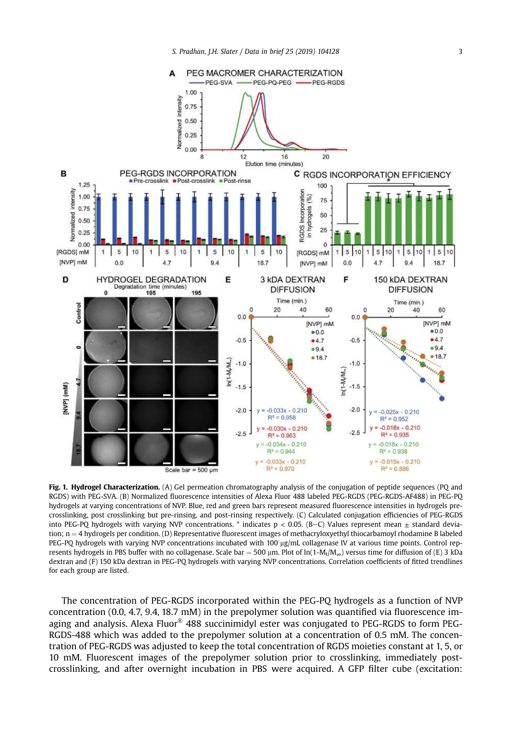

Fig. 1. Hydrogel Characterization. (A) Gel permeation chromatography analysis of the conjugation of peptide sequences (PQ and RGDS) with PEG-SVA. (B) Normalized fluorescence intensities of Alexa Fluor 488 labeled PEG-RGDS (PEG-RGDS-AF488) in PEG-PQ hydrogels at varying concentrations of NVP. Blue, red and green bars represent measured fluorescence intensities in hydrogels precrosslinking, post crosslinking but pre-rinsing, and post-rinsing respectively. (C) Calculated conjugation efficiencies of PEG-RGDS into PEG-PQ hydrogels with varying NVP concentrations. \* indicates  $p < 0.05$ . (B-C) Values represent mean  $\pm$  standard deviation; n = 4 hydrogels per condition. (D) Representative fluorescent images of methacryloxyethyl thiocarbamoyl rhodamine B labeled PEG-PQ hydrogels with varying NVP concentrations incubated with 100 µg/mL collagenase IV at various time points. Control represents hydrogels in PBS buffer with no collagenase. Scale bar = 500 µm. Plot of ln(1-M<sub>t</sub>/M<sub>∞</sub>) versus time for diffusion of (E) 3 kDa dextran and (F) 150 kDa dextran in PEG-PQ hydrogels with varying NVP concentrations. Correlation coefficients of fitted trendlines for each group are listed.

The concentration of PEG-RGDS incorporated within the PEG-PQ hydrogels as a function of NVP concentration (0.0, 4.7, 9.4, 18.7 mM) in the prepolymer solution was quantified via fluorescence imaging and analysis. Alexa Fluor® 488 succinimidyl ester was conjugated to PEG-RGDS to form PEG-RGDS-488 which was added to the prepolymer solution at a concentration of 0.5 mM. The concentration of PEG-RGDS was adjusted to keep the total concentration of RGDS moieties constant at 1, 5, or 10 mM. Fluorescent images of the prepolymer solution prior to crosslinking, immediately postcrosslinking, and after overnight incubation in PBS were acquired. A GFP filter cube (excitation: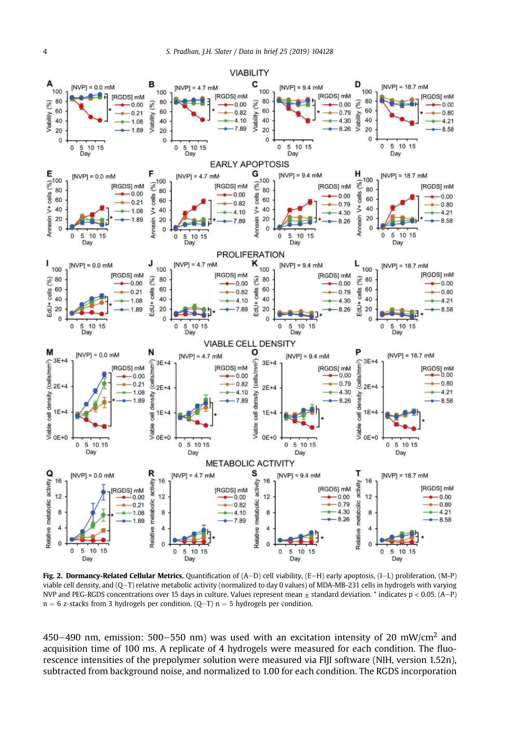

Fig. 2. Dormancy-Related Cellular Metrics. Quantification of (A-D) cell viability, (E-H) early apoptosis, (I-L) proliferation, (M-P) viable cell density, and (Q-T) relative metabolic activity (normalized to day 0 values) of MDA-MB-231 cells in hydrogels with varying NVP and PEG-RGDS concentrations over 15 days in culture. Values represent mean  $\pm$  standard deviation. \* indicates  $p < 0.05$ . (A-P)  $n = 6$  z-stacks from 3 hydrogels per condition. (Q-T)  $n = 5$  hydrogels per condition.

450–490 nm, emission: 500–550 nm) was used with an excitation intensity of 20 mW/cm<sup>2</sup> and acquisition time of 100 ms. A replicate of 4 hydrogels were measured for each condition. The fluorescence intensities of the prepolymer solution were measured via FIJI software (NIH, version 1.52n), subtracted from background noise, and normalized to 1.00 for each condition. The RGDS incorporation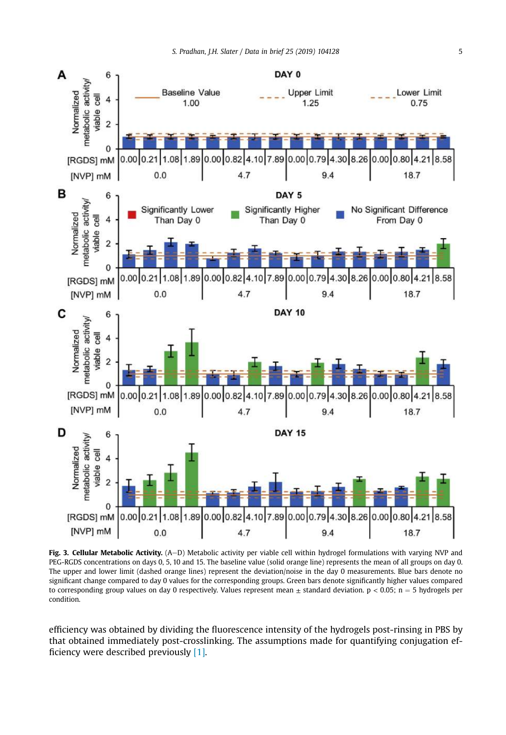

Fig. 3. Cellular Metabolic Activity. (A-D) Metabolic activity per viable cell within hydrogel formulations with varying NVP and PEG-RGDS concentrations on days 0, 5, 10 and 15. The baseline value (solid orange line) represents the mean of all groups on day 0. The upper and lower limit (dashed orange lines) represent the deviation/noise in the day 0 measurements. Blue bars denote no significant change compared to day 0 values for the corresponding groups. Green bars denote significantly higher values compared to corresponding group values on day 0 respectively. Values represent mean  $\pm$  standard deviation.  $p < 0.05$ ; n = 5 hydrogels per condition.

efficiency was obtained by dividing the fluorescence intensity of the hydrogels post-rinsing in PBS by that obtained immediately post-crosslinking. The assumptions made for quantifying conjugation efficiency were described previously [1].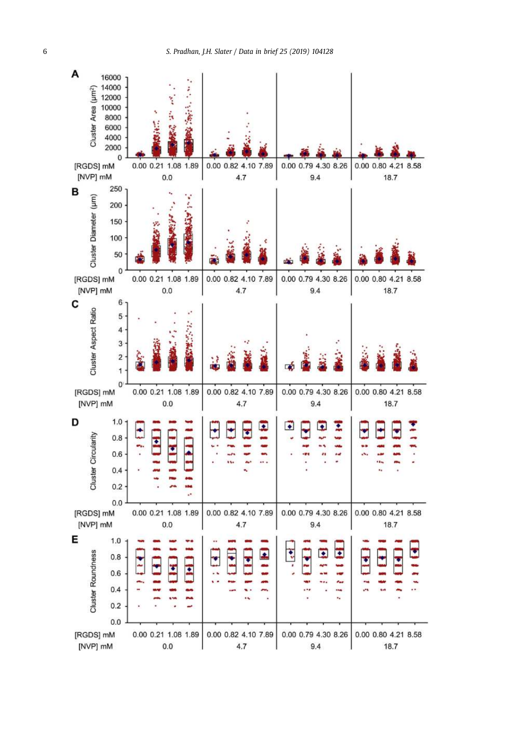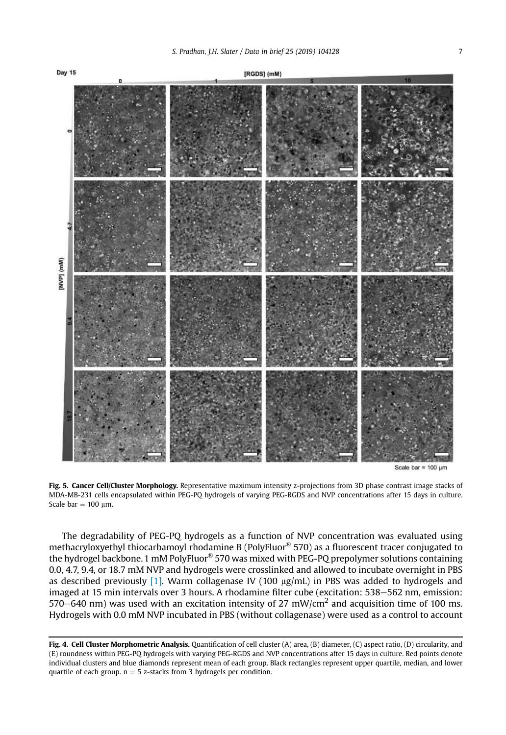

Scale bar =  $100 \text{ µm}$ 

Fig. 5. Cancer Cell/Cluster Morphology. Representative maximum intensity z-projections from 3D phase contrast image stacks of MDA-MB-231 cells encapsulated within PEG-PQ hydrogels of varying PEG-RGDS and NVP concentrations after 15 days in culture. Scale bar  $= 100 \mu m$ .

The degradability of PEG-PQ hydrogels as a function of NVP concentration was evaluated using methacryloxyethyl thiocarbamoyl rhodamine B (PolyFluor® 570) as a fluorescent tracer conjugated to the hydrogel backbone. 1 mM PolyFluor® 570 was mixed with PEG-PQ prepolymer solutions containing 0.0, 4.7, 9.4, or 18.7 mM NVP and hydrogels were crosslinked and allowed to incubate overnight in PBS as described previously  $[1]$ . Warm collagenase IV  $(100 \mu g/mL)$  in PBS was added to hydrogels and imaged at 15 min intervals over 3 hours. A rhodamine filter cube (excitation: 538-562 nm, emission: 570–640 nm) was used with an excitation intensity of 27 mW/cm<sup>2</sup> and acquisition time of 100 ms. Hydrogels with 0.0 mM NVP incubated in PBS (without collagenase) were used as a control to account

Fig. 4. Cell Cluster Morphometric Analysis. Quantification of cell cluster (A) area, (B) diameter, (C) aspect ratio, (D) circularity, and (E) roundness within PEG-PQ hydrogels with varying PEG-RGDS and NVP concentrations after 15 days in culture. Red points denote individual clusters and blue diamonds represent mean of each group. Black rectangles represent upper quartile, median, and lower quartile of each group.  $n = 5$  z-stacks from 3 hydrogels per condition.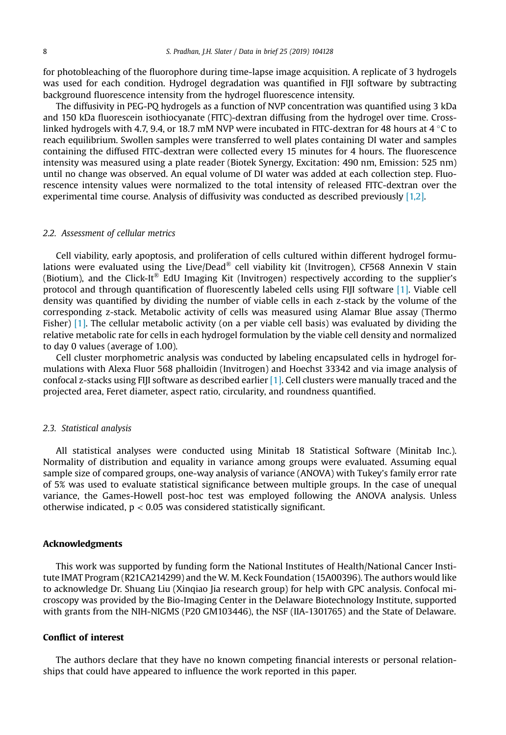for photobleaching of the fluorophore during time-lapse image acquisition. A replicate of 3 hydrogels was used for each condition. Hydrogel degradation was quantified in FIJI software by subtracting background fluorescence intensity from the hydrogel fluorescence intensity.

The diffusivity in PEG-PQ hydrogels as a function of NVP concentration was quantified using 3 kDa and 150 kDa fluorescein isothiocyanate (FITC)-dextran diffusing from the hydrogel over time. Crosslinked hydrogels with 4.7, 9.4, or 18.7 mM NVP were incubated in FITC-dextran for 48 hours at 4  $\degree$ C to reach equilibrium. Swollen samples were transferred to well plates containing DI water and samples containing the diffused FITC-dextran were collected every 15 minutes for 4 hours. The fluorescence intensity was measured using a plate reader (Biotek Synergy, Excitation: 490 nm, Emission: 525 nm) until no change was observed. An equal volume of DI water was added at each collection step. Fluorescence intensity values were normalized to the total intensity of released FITC-dextran over the experimental time course. Analysis of diffusivity was conducted as described previously [1,2].

#### *2.2. Assessment of cellular metrics*

Cell viability, early apoptosis, and proliferation of cells cultured within different hydrogel formulations were evaluated using the Live/Dead® cell viability kit (Invitrogen), CF568 Annexin V stain (Biotium), and the Click-It<sup>®</sup> EdU Imaging Kit (Invitrogen) respectively according to the supplier's protocol and through quantification of fluorescently labeled cells using FIJI software [1]. Viable cell density was quantified by dividing the number of viable cells in each z-stack by the volume of the corresponding z-stack. Metabolic activity of cells was measured using Alamar Blue assay (Thermo Fisher) [1]. The cellular metabolic activity (on a per viable cell basis) was evaluated by dividing the relative metabolic rate for cells in each hydrogel formulation by the viable cell density and normalized to day 0 values (average of 1.00).

Cell cluster morphometric analysis was conducted by labeling encapsulated cells in hydrogel formulations with Alexa Fluor 568 phalloidin (Invitrogen) and Hoechst 33342 and via image analysis of confocal z-stacks using FIJI software as described earlier [1]. Cell clusters were manually traced and the projected area, Feret diameter, aspect ratio, circularity, and roundness quantified.

#### *2.3. Statistical analysis*

All statistical analyses were conducted using Minitab 18 Statistical Software (Minitab Inc.). Normality of distribution and equality in variance among groups were evaluated. Assuming equal sample size of compared groups, one-way analysis of variance (ANOVA) with Tukey's family error rate of 5% was used to evaluate statistical significance between multiple groups. In the case of unequal variance, the Games-Howell post-hoc test was employed following the ANOVA analysis. Unless otherwise indicated,  $p < 0.05$  was considered statistically significant.

#### Acknowledgments

This work was supported by funding form the National Institutes of Health/National Cancer Institute IMAT Program (R21CA214299) and the W. M. Keck Foundation (15A00396). The authors would like to acknowledge Dr. Shuang Liu (Xinqiao Jia research group) for help with GPC analysis. Confocal microscopy was provided by the Bio-Imaging Center in the Delaware Biotechnology Institute, supported with grants from the NIH-NIGMS (P20 GM103446), the NSF (IIA-1301765) and the State of Delaware.

#### Conflict of interest

The authors declare that they have no known competing financial interests or personal relationships that could have appeared to influence the work reported in this paper.